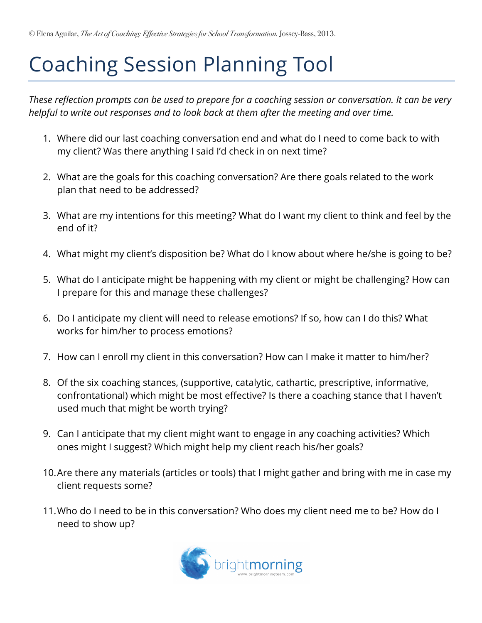## Coaching Session Planning Tool

*These reflection prompts can be used to prepare for a coaching session or conversation. It can be very helpful to write out responses and to look back at them after the meeting and over time.*

- 1. Where did our last coaching conversation end and what do I need to come back to with my client? Was there anything I said I'd check in on next time?
- 2. What are the goals for this coaching conversation? Are there goals related to the work plan that need to be addressed?
- 3. What are my intentions for this meeting? What do I want my client to think and feel by the end of it?
- 4. What might my client's disposition be? What do I know about where he/she is going to be?
- 5. What do I anticipate might be happening with my client or might be challenging? How can I prepare for this and manage these challenges?
- 6. Do I anticipate my client will need to release emotions? If so, how can I do this? What works for him/her to process emotions?
- 7. How can I enroll my client in this conversation? How can I make it matter to him/her?
- 8. Of the six coaching stances, (supportive, catalytic, cathartic, prescriptive, informative, confrontational) which might be most effective? Is there a coaching stance that I haven't used much that might be worth trying?
- 9. Can I anticipate that my client might want to engage in any coaching activities? Which ones might I suggest? Which might help my client reach his/her goals?
- 10.Are there any materials (articles or tools) that I might gather and bring with me in case my client requests some?
- 11.Who do I need to be in this conversation? Who does my client need me to be? How do I need to show up?